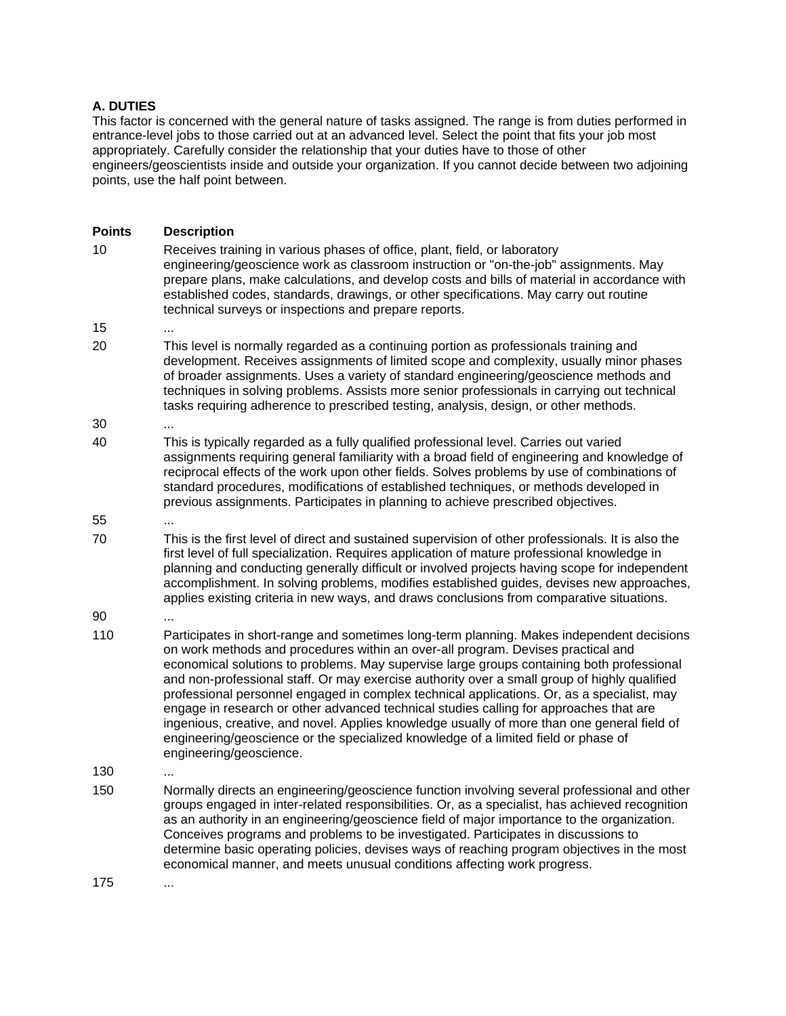### **A. DUTIES**

This factor is concerned with the general nature of tasks assigned. The range is from duties performed in entrance-level jobs to those carried out at an advanced level. Select the point that fits your job most appropriately. Carefully consider the relationship that your duties have to those of other engineers/geoscientists inside and outside your organization. If you cannot decide between two adjoining points, use the half point between.

| <b>Points</b> | <b>Description</b>                                                                                                                                                                                                                                                                                                                                                                                                                                                                                                                                                                                                                                                                                                                                                                 |
|---------------|------------------------------------------------------------------------------------------------------------------------------------------------------------------------------------------------------------------------------------------------------------------------------------------------------------------------------------------------------------------------------------------------------------------------------------------------------------------------------------------------------------------------------------------------------------------------------------------------------------------------------------------------------------------------------------------------------------------------------------------------------------------------------------|
| 10            | Receives training in various phases of office, plant, field, or laboratory<br>engineering/geoscience work as classroom instruction or "on-the-job" assignments. May<br>prepare plans, make calculations, and develop costs and bills of material in accordance with<br>established codes, standards, drawings, or other specifications. May carry out routine<br>technical surveys or inspections and prepare reports.                                                                                                                                                                                                                                                                                                                                                             |
| 15            |                                                                                                                                                                                                                                                                                                                                                                                                                                                                                                                                                                                                                                                                                                                                                                                    |
| 20            | This level is normally regarded as a continuing portion as professionals training and<br>development. Receives assignments of limited scope and complexity, usually minor phases<br>of broader assignments. Uses a variety of standard engineering/geoscience methods and<br>techniques in solving problems. Assists more senior professionals in carrying out technical<br>tasks requiring adherence to prescribed testing, analysis, design, or other methods.                                                                                                                                                                                                                                                                                                                   |
| 30            |                                                                                                                                                                                                                                                                                                                                                                                                                                                                                                                                                                                                                                                                                                                                                                                    |
| 40            | This is typically regarded as a fully qualified professional level. Carries out varied<br>assignments requiring general familiarity with a broad field of engineering and knowledge of<br>reciprocal effects of the work upon other fields. Solves problems by use of combinations of<br>standard procedures, modifications of established techniques, or methods developed in<br>previous assignments. Participates in planning to achieve prescribed objectives.                                                                                                                                                                                                                                                                                                                 |
| 55            |                                                                                                                                                                                                                                                                                                                                                                                                                                                                                                                                                                                                                                                                                                                                                                                    |
| 70            | This is the first level of direct and sustained supervision of other professionals. It is also the<br>first level of full specialization. Requires application of mature professional knowledge in<br>planning and conducting generally difficult or involved projects having scope for independent<br>accomplishment. In solving problems, modifies established guides, devises new approaches,<br>applies existing criteria in new ways, and draws conclusions from comparative situations.                                                                                                                                                                                                                                                                                      |
| 90            |                                                                                                                                                                                                                                                                                                                                                                                                                                                                                                                                                                                                                                                                                                                                                                                    |
| 110           | Participates in short-range and sometimes long-term planning. Makes independent decisions<br>on work methods and procedures within an over-all program. Devises practical and<br>economical solutions to problems. May supervise large groups containing both professional<br>and non-professional staff. Or may exercise authority over a small group of highly qualified<br>professional personnel engaged in complex technical applications. Or, as a specialist, may<br>engage in research or other advanced technical studies calling for approaches that are<br>ingenious, creative, and novel. Applies knowledge usually of more than one general field of<br>engineering/geoscience or the specialized knowledge of a limited field or phase of<br>engineering/geoscience. |
| 130           |                                                                                                                                                                                                                                                                                                                                                                                                                                                                                                                                                                                                                                                                                                                                                                                    |

- 150 Normally directs an engineering/geoscience function involving several professional and other groups engaged in inter-related responsibilities. Or, as a specialist, has achieved recognition as an authority in an engineering/geoscience field of major importance to the organization. Conceives programs and problems to be investigated. Participates in discussions to determine basic operating policies, devises ways of reaching program objectives in the most economical manner, and meets unusual conditions affecting work progress.
- 175 ...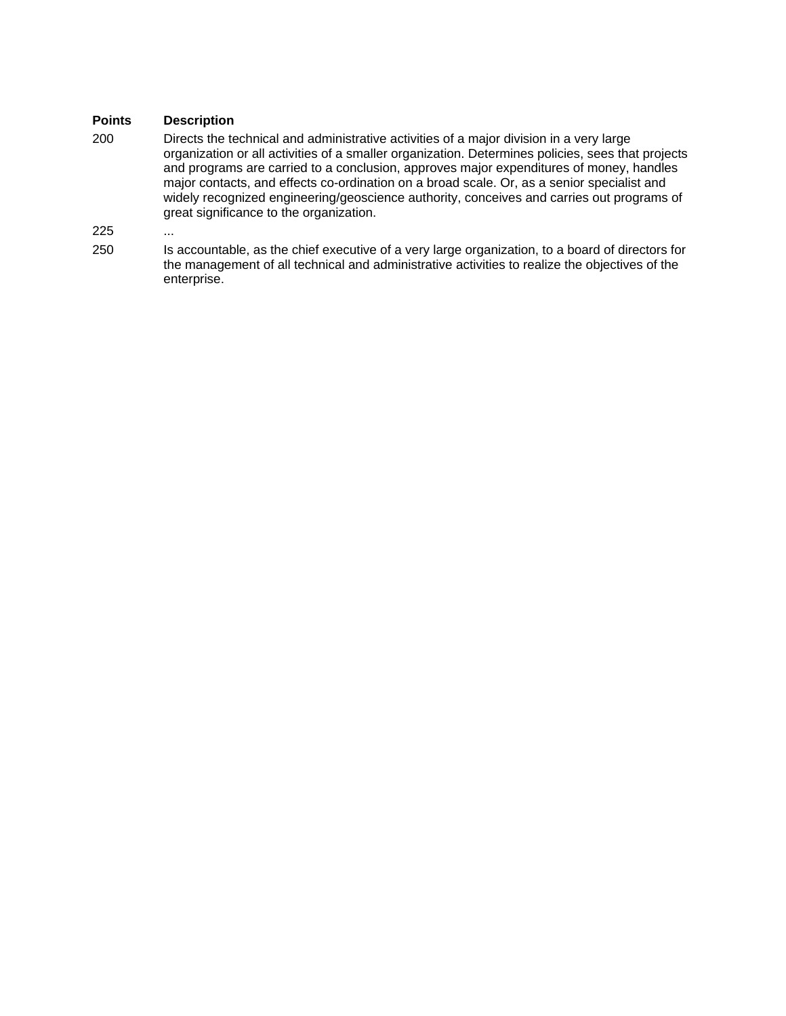### **Points Description**

- 200 Directs the technical and administrative activities of a major division in a very large organization or all activities of a smaller organization. Determines policies, sees that projects and programs are carried to a conclusion, approves major expenditures of money, handles major contacts, and effects co-ordination on a broad scale. Or, as a senior specialist and widely recognized engineering/geoscience authority, conceives and carries out programs of great significance to the organization.
- 225 ...
- 250 Is accountable, as the chief executive of a very large organization, to a board of directors for the management of all technical and administrative activities to realize the objectives of the enterprise.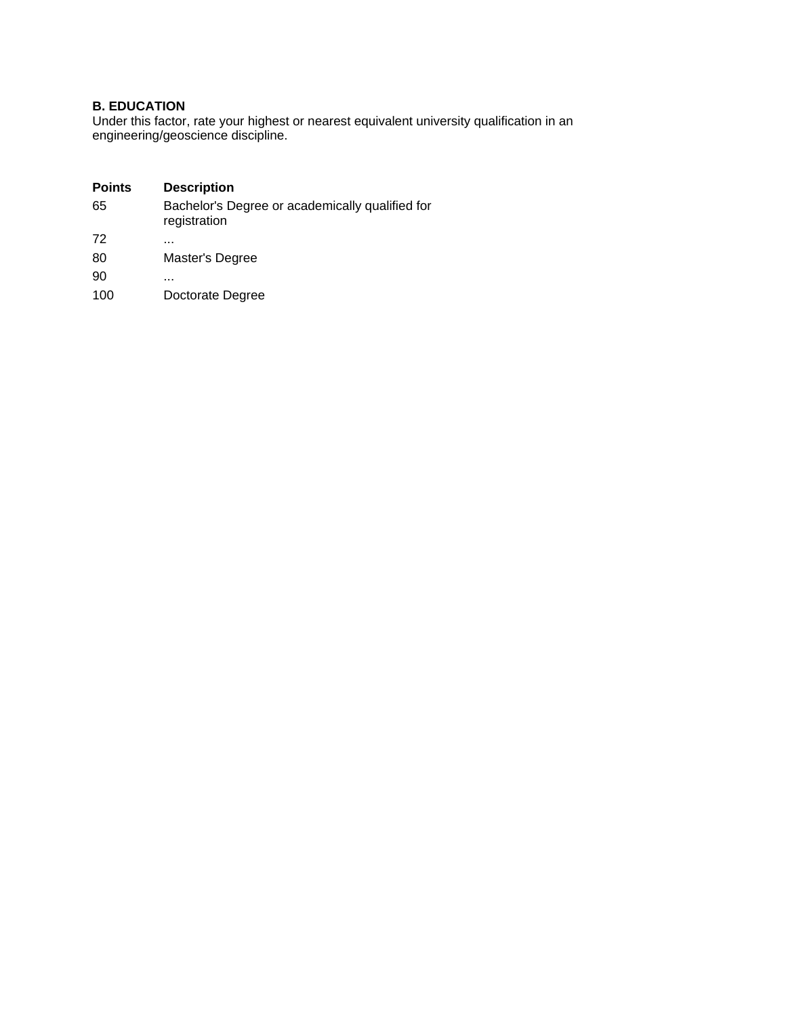# **B. EDUCATION**

Under this factor, rate your highest or nearest equivalent university qualification in an engineering/geoscience discipline.

# **Points Description**

| 65  | Bachelor's Degree or academically qualified for<br>registration |
|-----|-----------------------------------------------------------------|
| 72  | .                                                               |
| 80  | Master's Degree                                                 |
| 90  | .                                                               |
| 100 | Doctorate Degree                                                |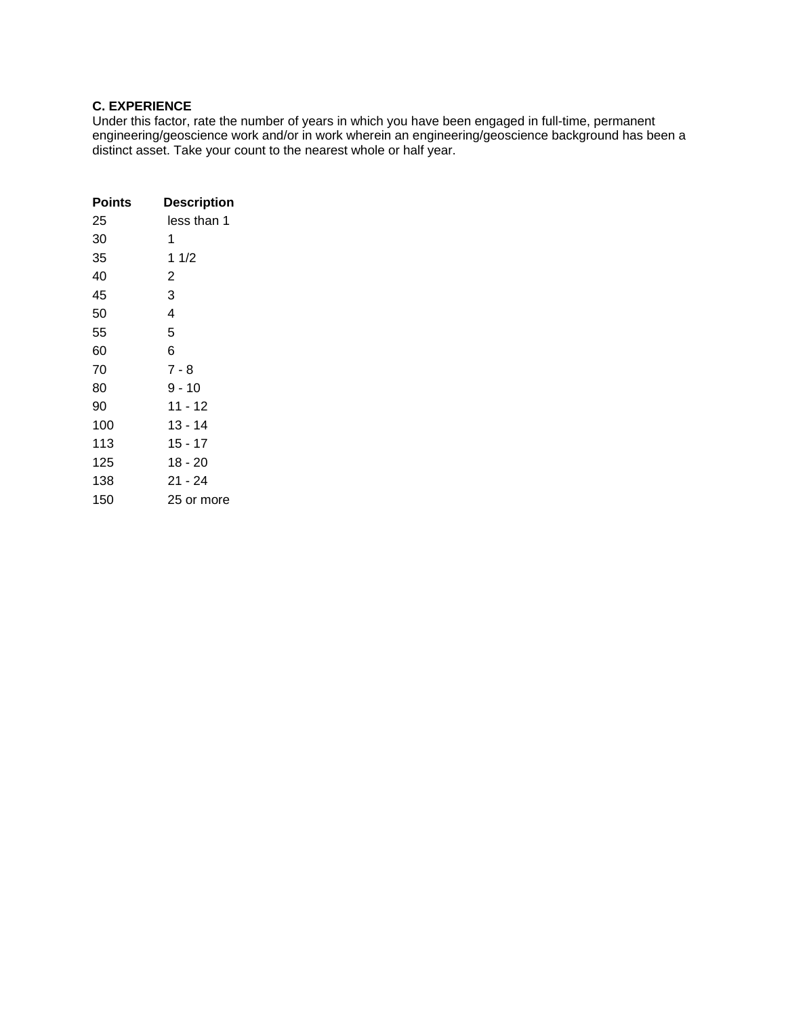#### **C. EXPERIENCE**

Under this factor, rate the number of years in which you have been engaged in full-time, permanent engineering/geoscience work and/or in work wherein an engineering/geoscience background has been a distinct asset. Take your count to the nearest whole or half year.

| <b>Points</b> | Description    |
|---------------|----------------|
| 25            | less than 1    |
| 30            | 1              |
| 35            | 11/2           |
| 40            | $\overline{2}$ |
| 45            | 3              |
| 50            | 4              |
| 55            | 5              |
| 60            | 6              |
| 70            | $7 - 8$        |
| 80            | 9 - 10         |
| 90            | $11 - 12$      |
| 100           | 13 - 14        |
| 113           | $15 - 17$      |
| 125           | 18 - 20        |
| 138           | 21 - 24        |
| 150           | 25 or more     |
|               |                |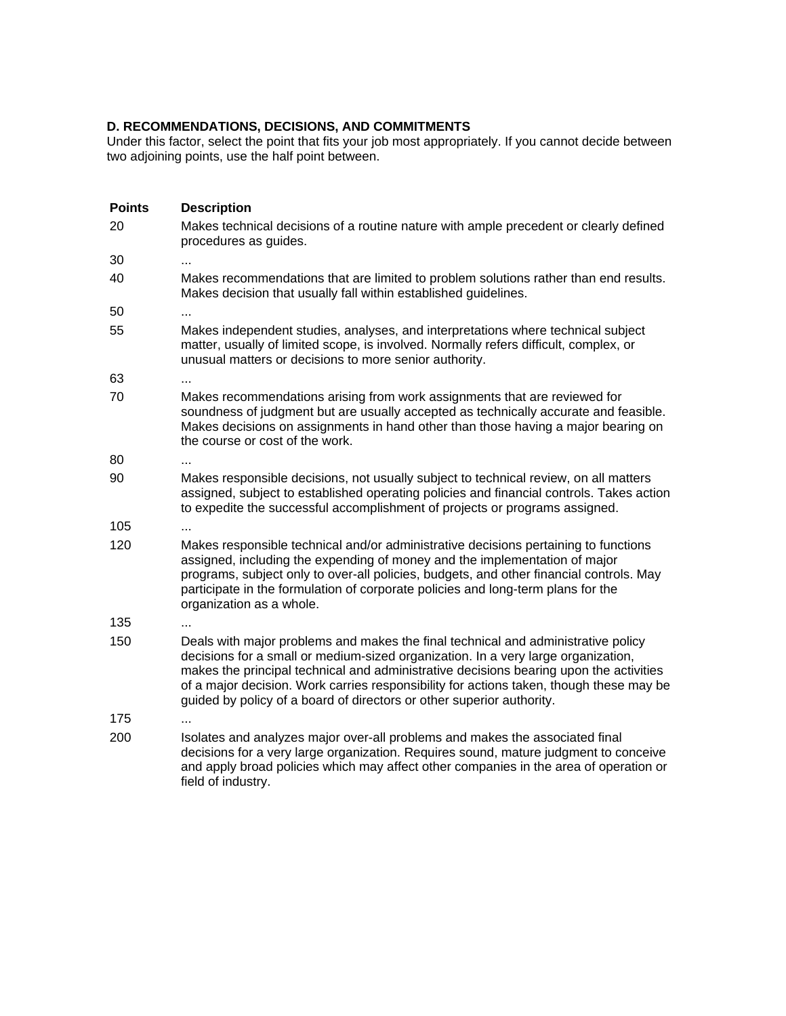#### **D. RECOMMENDATIONS, DECISIONS, AND COMMITMENTS**

Under this factor, select the point that fits your job most appropriately. If you cannot decide between two adjoining points, use the half point between.

- **Points Description**  20 Makes technical decisions of a routine nature with ample precedent or clearly defined procedures as guides. 30 ... 40 Makes recommendations that are limited to problem solutions rather than end results. Makes decision that usually fall within established guidelines. 50 ... 55 Makes independent studies, analyses, and interpretations where technical subject matter, usually of limited scope, is involved. Normally refers difficult, complex, or unusual matters or decisions to more senior authority. 63 ... 70 Makes recommendations arising from work assignments that are reviewed for soundness of judgment but are usually accepted as technically accurate and feasible. Makes decisions on assignments in hand other than those having a major bearing on the course or cost of the work. 80 ... 90 Makes responsible decisions, not usually subject to technical review, on all matters assigned, subject to established operating policies and financial controls. Takes action to expedite the successful accomplishment of projects or programs assigned. 105 120 Makes responsible technical and/or administrative decisions pertaining to functions assigned, including the expending of money and the implementation of major programs, subject only to over-all policies, budgets, and other financial controls. May participate in the formulation of corporate policies and long-term plans for the organization as a whole. 135 ... 150 Deals with major problems and makes the final technical and administrative policy decisions for a small or medium-sized organization. In a very large organization, makes the principal technical and administrative decisions bearing upon the activities of a major decision. Work carries responsibility for actions taken, though these may be guided by policy of a board of directors or other superior authority. 175 ...
- 200 Isolates and analyzes major over-all problems and makes the associated final decisions for a very large organization. Requires sound, mature judgment to conceive and apply broad policies which may affect other companies in the area of operation or field of industry.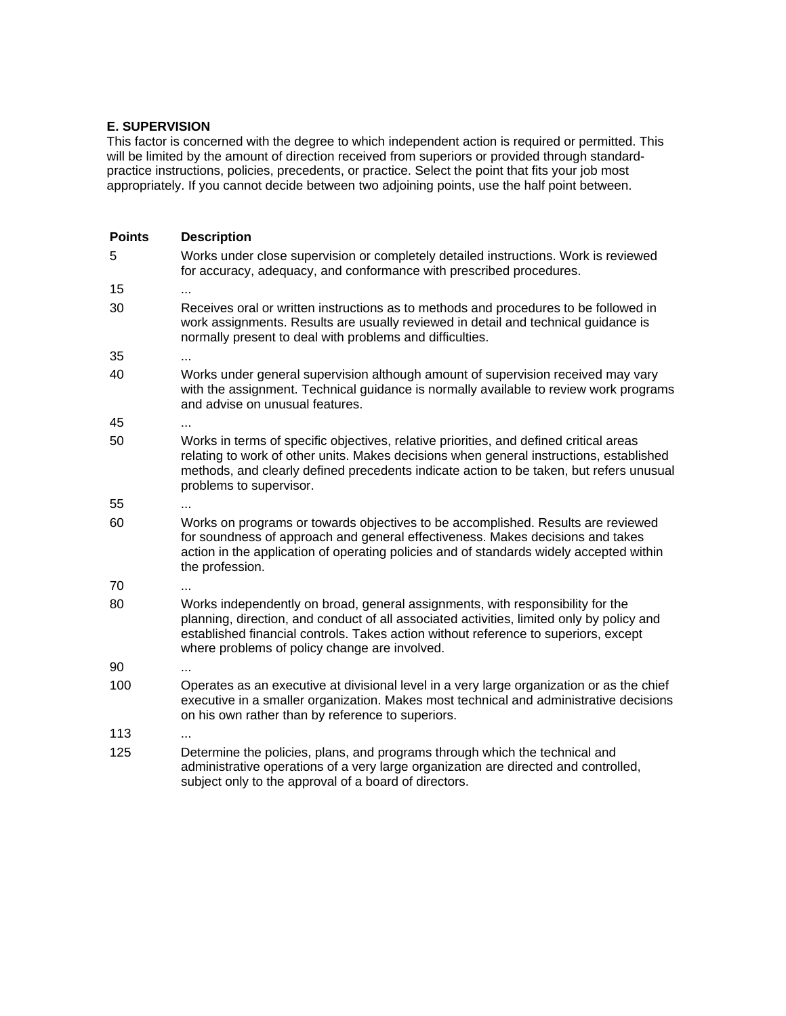#### **E. SUPERVISION**

This factor is concerned with the degree to which independent action is required or permitted. This will be limited by the amount of direction received from superiors or provided through standardpractice instructions, policies, precedents, or practice. Select the point that fits your job most appropriately. If you cannot decide between two adjoining points, use the half point between.

| <b>Points</b> | <b>Description</b>                                                                                                                                                                                                                                                                                                  |
|---------------|---------------------------------------------------------------------------------------------------------------------------------------------------------------------------------------------------------------------------------------------------------------------------------------------------------------------|
| 5             | Works under close supervision or completely detailed instructions. Work is reviewed<br>for accuracy, adequacy, and conformance with prescribed procedures.                                                                                                                                                          |
| 15            | $\cdots$                                                                                                                                                                                                                                                                                                            |
| 30            | Receives oral or written instructions as to methods and procedures to be followed in<br>work assignments. Results are usually reviewed in detail and technical guidance is<br>normally present to deal with problems and difficulties.                                                                              |
| 35            | $\cdots$                                                                                                                                                                                                                                                                                                            |
| 40            | Works under general supervision although amount of supervision received may vary<br>with the assignment. Technical guidance is normally available to review work programs<br>and advise on unusual features.                                                                                                        |
| 45            | $\cdots$                                                                                                                                                                                                                                                                                                            |
| 50            | Works in terms of specific objectives, relative priorities, and defined critical areas<br>relating to work of other units. Makes decisions when general instructions, established<br>methods, and clearly defined precedents indicate action to be taken, but refers unusual<br>problems to supervisor.             |
| 55            | $\cdots$                                                                                                                                                                                                                                                                                                            |
| 60            | Works on programs or towards objectives to be accomplished. Results are reviewed<br>for soundness of approach and general effectiveness. Makes decisions and takes<br>action in the application of operating policies and of standards widely accepted within<br>the profession.                                    |
| 70            | $\ddotsc$                                                                                                                                                                                                                                                                                                           |
| 80            | Works independently on broad, general assignments, with responsibility for the<br>planning, direction, and conduct of all associated activities, limited only by policy and<br>established financial controls. Takes action without reference to superiors, except<br>where problems of policy change are involved. |
| 90            | $\cdots$                                                                                                                                                                                                                                                                                                            |
| 100           | Operates as an executive at divisional level in a very large organization or as the chief<br>executive in a smaller organization. Makes most technical and administrative decisions<br>on his own rather than by reference to superiors.                                                                            |
| 113           | $\cdots$                                                                                                                                                                                                                                                                                                            |
| 125           | Determine the policies, plans, and programs through which the technical and<br>administrative operations of a very large organization are directed and controlled,<br>subject only to the approval of a board of directors.                                                                                         |
|               |                                                                                                                                                                                                                                                                                                                     |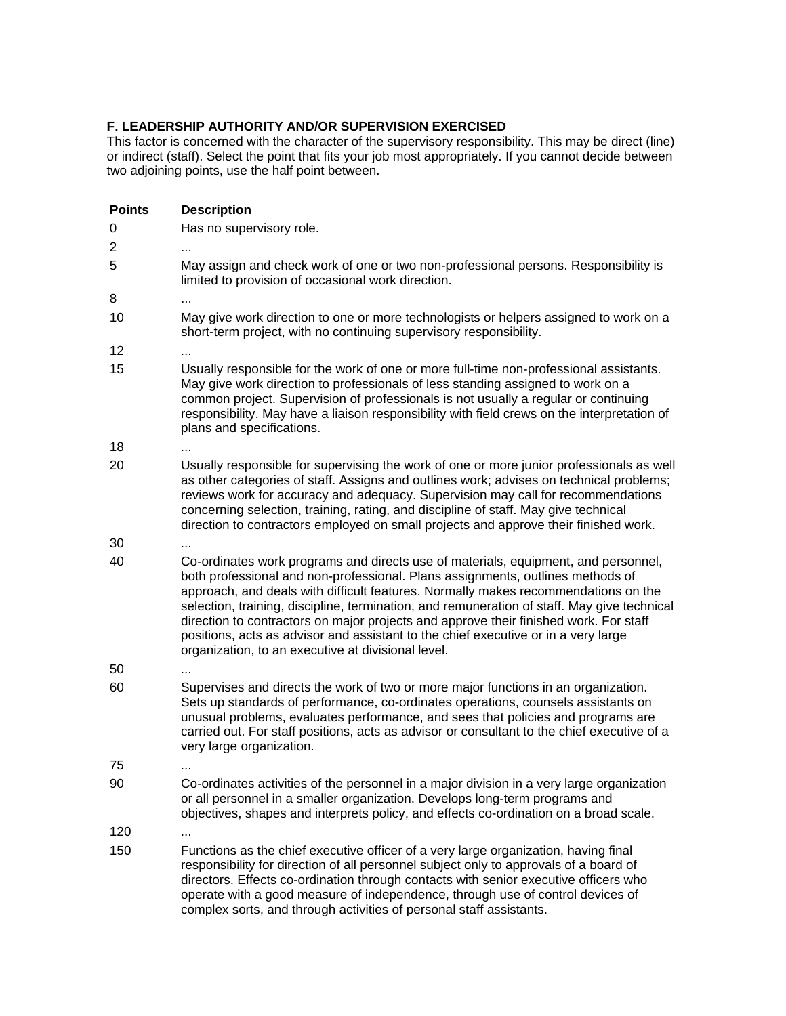### **F. LEADERSHIP AUTHORITY AND/OR SUPERVISION EXERCISED**

This factor is concerned with the character of the supervisory responsibility. This may be direct (line) or indirect (staff). Select the point that fits your job most appropriately. If you cannot decide between two adjoining points, use the half point between.

| <b>Points</b> | <b>Description</b>                                                                                                                                                                                                                                                                                                                                                                                                                                                                                                                                                                             |
|---------------|------------------------------------------------------------------------------------------------------------------------------------------------------------------------------------------------------------------------------------------------------------------------------------------------------------------------------------------------------------------------------------------------------------------------------------------------------------------------------------------------------------------------------------------------------------------------------------------------|
| 0             | Has no supervisory role.                                                                                                                                                                                                                                                                                                                                                                                                                                                                                                                                                                       |
| 2             |                                                                                                                                                                                                                                                                                                                                                                                                                                                                                                                                                                                                |
| 5             | May assign and check work of one or two non-professional persons. Responsibility is<br>limited to provision of occasional work direction.                                                                                                                                                                                                                                                                                                                                                                                                                                                      |
| 8             |                                                                                                                                                                                                                                                                                                                                                                                                                                                                                                                                                                                                |
| 10            | May give work direction to one or more technologists or helpers assigned to work on a<br>short-term project, with no continuing supervisory responsibility.                                                                                                                                                                                                                                                                                                                                                                                                                                    |
| 12            |                                                                                                                                                                                                                                                                                                                                                                                                                                                                                                                                                                                                |
| 15            | Usually responsible for the work of one or more full-time non-professional assistants.<br>May give work direction to professionals of less standing assigned to work on a<br>common project. Supervision of professionals is not usually a regular or continuing<br>responsibility. May have a liaison responsibility with field crews on the interpretation of<br>plans and specifications.                                                                                                                                                                                                   |
| 18            |                                                                                                                                                                                                                                                                                                                                                                                                                                                                                                                                                                                                |
| 20            | Usually responsible for supervising the work of one or more junior professionals as well<br>as other categories of staff. Assigns and outlines work; advises on technical problems;<br>reviews work for accuracy and adequacy. Supervision may call for recommendations<br>concerning selection, training, rating, and discipline of staff. May give technical<br>direction to contractors employed on small projects and approve their finished work.                                                                                                                                         |
| 30            |                                                                                                                                                                                                                                                                                                                                                                                                                                                                                                                                                                                                |
| 40            | Co-ordinates work programs and directs use of materials, equipment, and personnel,<br>both professional and non-professional. Plans assignments, outlines methods of<br>approach, and deals with difficult features. Normally makes recommendations on the<br>selection, training, discipline, termination, and remuneration of staff. May give technical<br>direction to contractors on major projects and approve their finished work. For staff<br>positions, acts as advisor and assistant to the chief executive or in a very large<br>organization, to an executive at divisional level. |
| 50            |                                                                                                                                                                                                                                                                                                                                                                                                                                                                                                                                                                                                |
| 60            | Supervises and directs the work of two or more major functions in an organization.<br>Sets up standards of performance, co-ordinates operations, counsels assistants on<br>unusual problems, evaluates performance, and sees that policies and programs are<br>carried out. For staff positions, acts as advisor or consultant to the chief executive of a<br>very large organization.                                                                                                                                                                                                         |
| 75            |                                                                                                                                                                                                                                                                                                                                                                                                                                                                                                                                                                                                |
| 90            | Co-ordinates activities of the personnel in a major division in a very large organization<br>or all personnel in a smaller organization. Develops long-term programs and<br>objectives, shapes and interprets policy, and effects co-ordination on a broad scale.                                                                                                                                                                                                                                                                                                                              |
| 120           |                                                                                                                                                                                                                                                                                                                                                                                                                                                                                                                                                                                                |
| 150           | Functions as the chief executive officer of a very large organization, having final<br>responsibility for direction of all personnel subject only to approvals of a board of<br>directors. Effects co-ordination through contacts with senior executive officers who<br>operate with a good measure of independence, through use of control devices of<br>complex sorts, and through activities of personal staff assistants.                                                                                                                                                                  |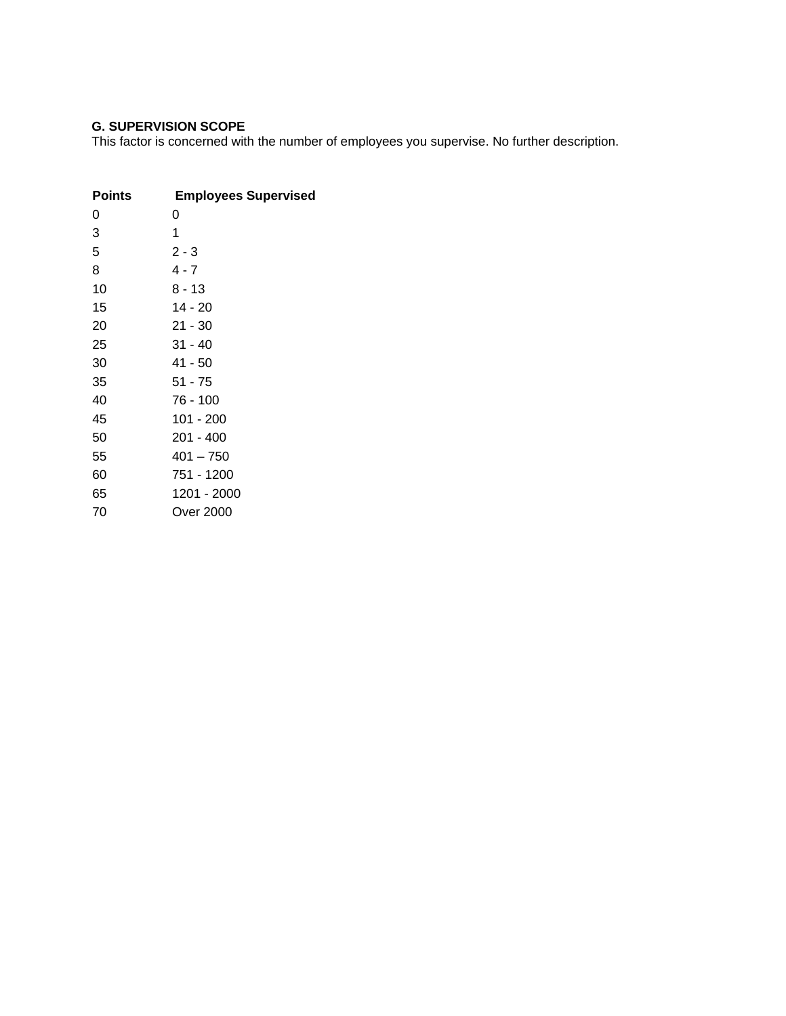# **G. SUPERVISION SCOPE**

This factor is concerned with the number of employees you supervise. No further description.

| <b>Points</b> | <b>Employees Supervised</b> |
|---------------|-----------------------------|
| 0             | 0                           |
| 3             | 1                           |
| 5             | $2 - 3$                     |
| 8             | 4 - 7                       |
| 10            | $8 - 13$                    |
| 15            | 14 - 20                     |
| 20            | $21 - 30$                   |
| 25            | 31 - 40                     |
| 30            | 41 - 50                     |
| 35            | $51 - 75$                   |
| 40            | 76 - 100                    |
| 45            | 101 - 200                   |
| 50            | $201 - 400$                 |
| 55            | $401 - 750$                 |
| 60            | 751 - 1200                  |
| 65            | 1201 - 2000                 |
| 70            | Over 2000                   |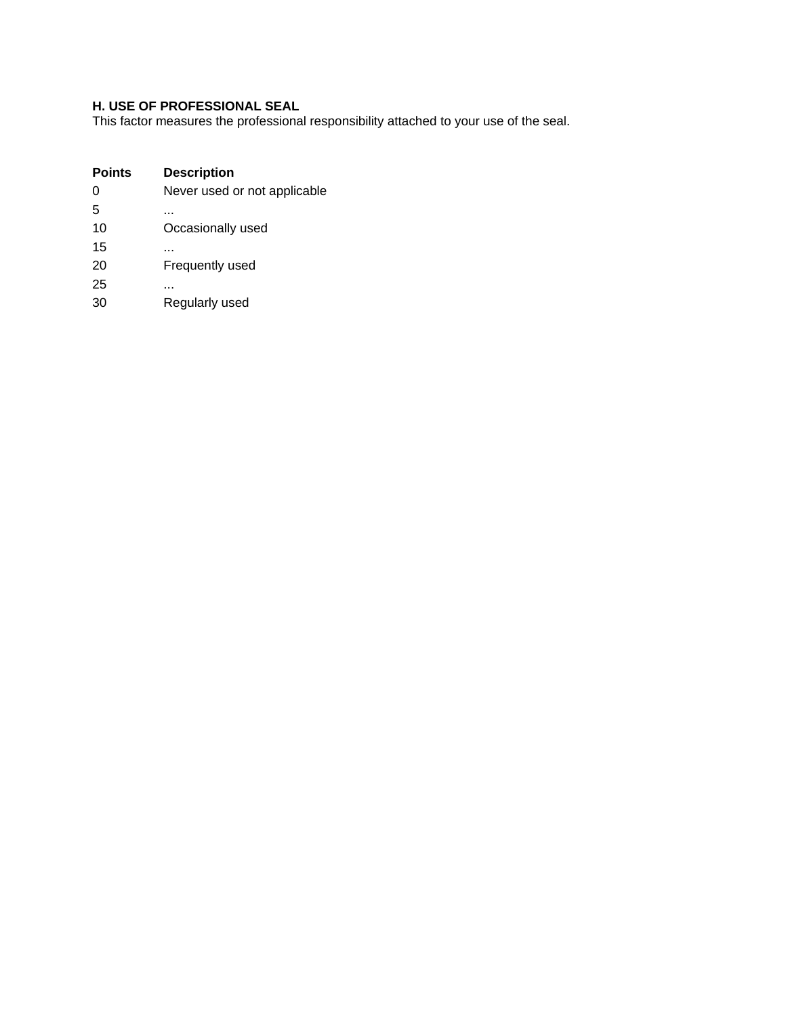# **H. USE OF PROFESSIONAL SEAL**

This factor measures the professional responsibility attached to your use of the seal.

| <b>Points</b> | <b>Description</b>           |
|---------------|------------------------------|
| 0             | Never used or not applicable |
| 5             |                              |
| 10            | Occasionally used            |
| 15            |                              |
| 20            | Frequently used              |
| 25            |                              |
| 30            | Regularly used               |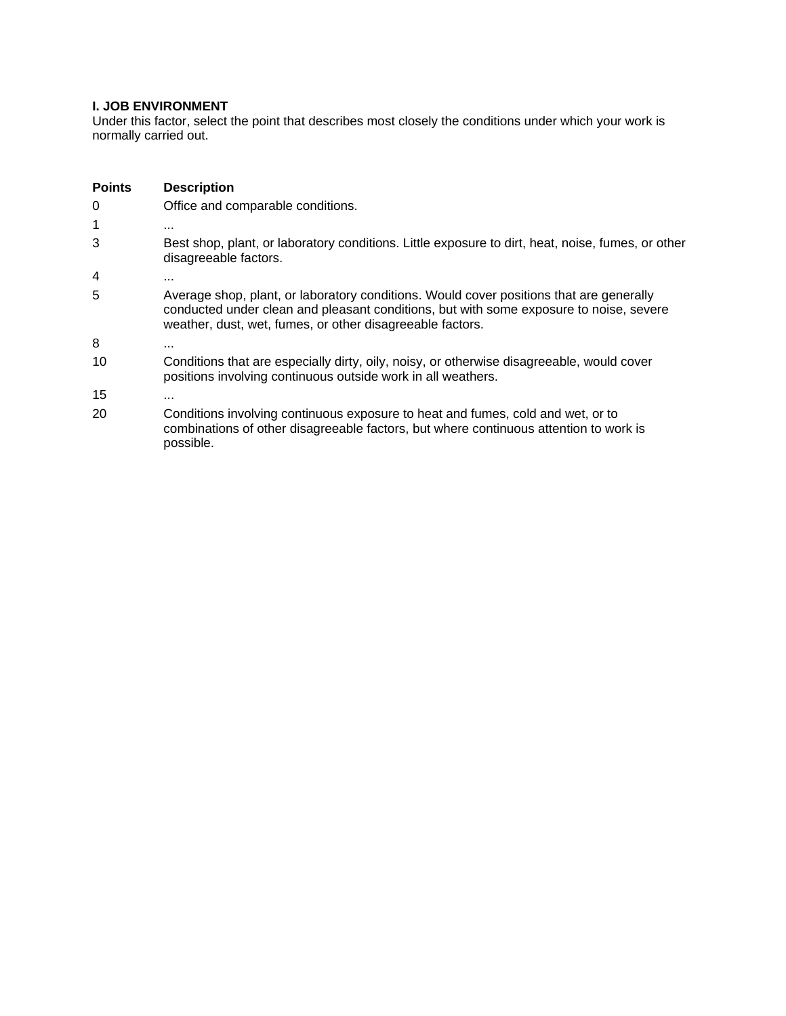# **I. JOB ENVIRONMENT**

Under this factor, select the point that describes most closely the conditions under which your work is normally carried out.

| <b>Points</b> | <b>Description</b>                                                                                                                                                                                                                             |
|---------------|------------------------------------------------------------------------------------------------------------------------------------------------------------------------------------------------------------------------------------------------|
| 0             | Office and comparable conditions.                                                                                                                                                                                                              |
| 1             | .                                                                                                                                                                                                                                              |
| 3             | Best shop, plant, or laboratory conditions. Little exposure to dirt, heat, noise, fumes, or other<br>disagreeable factors.                                                                                                                     |
| 4             |                                                                                                                                                                                                                                                |
| 5             | Average shop, plant, or laboratory conditions. Would cover positions that are generally<br>conducted under clean and pleasant conditions, but with some exposure to noise, severe<br>weather, dust, wet, fumes, or other disagreeable factors. |
| 8             |                                                                                                                                                                                                                                                |
| 10            | Conditions that are especially dirty, oily, noisy, or otherwise disagreeable, would cover<br>positions involving continuous outside work in all weathers.                                                                                      |
| 15            | $\cdots$                                                                                                                                                                                                                                       |
| 20            | Conditions involving continuous exposure to heat and fumes, cold and wet, or to<br>combinations of other disagreeable factors, but where continuous attention to work is<br>possible.                                                          |
|               |                                                                                                                                                                                                                                                |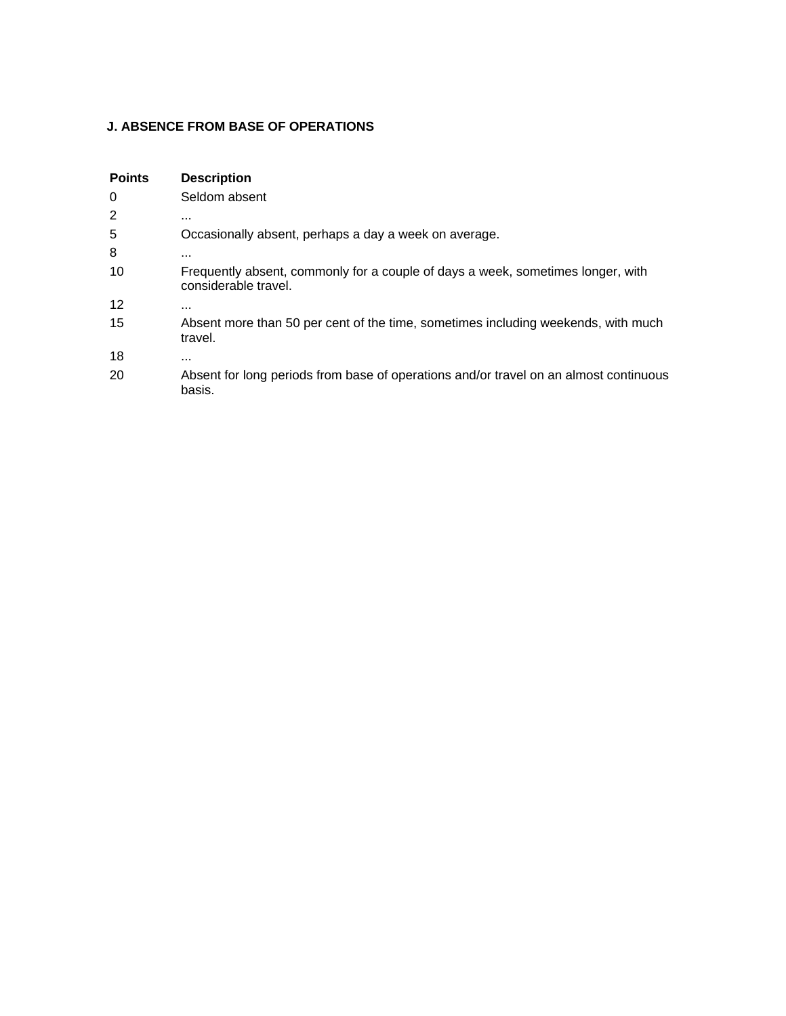#### **J. ABSENCE FROM BASE OF OPERATIONS**

| <b>Points</b> | <b>Description</b>                                                                                      |
|---------------|---------------------------------------------------------------------------------------------------------|
| 0             | Seldom absent                                                                                           |
| 2             | $\cdots$                                                                                                |
| 5             | Occasionally absent, perhaps a day a week on average.                                                   |
| 8             | .                                                                                                       |
| 10            | Frequently absent, commonly for a couple of days a week, sometimes longer, with<br>considerable travel. |
| 12            | $\cdots$                                                                                                |
| 15            | Absent more than 50 per cent of the time, sometimes including weekends, with much<br>travel.            |
| 18            | $\cdots$                                                                                                |
| 20            | Absent for long periods from base of operations and/or travel on an almost continuous<br>basis.         |